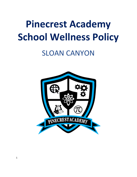# **Pinecrest Academy School Wellness Policy**

# SLOAN CANYON

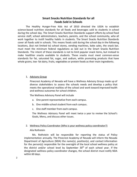## **Smart Snacks Nutrition Standards for all Foods Sold in Schools**

The Healthy Hunger-Free Kids Act of 2010 directed the USDA to establish science-based nutrition standards for all foods and beverages sold to students in school during the school day. The Smart Snacks Nutrition Standards support efforts by school food service staff, school administrators, teachers, parents, and the school community, who all work together to instill healthy habits in students. The Smart Snacks Nutrition Standards cover all foods sold in schools. This means foods sold during the school day in the following locations, (but not limited to) school stores, vending machines, bake sales, the snack bar, must meet the minimum federal regulations as laid out in the Smart Snacks Nutrition Standards. The intent of these standards is not to limit popular snack items, but instead to make healthier snacks available to students. These snacks must meet common-sense standards for fat, saturated fat, sugar, and sodium, while promoting products that have whole grains, low- fat dairy, fruits, vegetables or protein foods as their main ingredients.

#### 1. Advisory Group

Pinecrest Academy of Nevada will have a Wellness Advisory Group made up of diverse stakeholders to assess the schools needs and develop a policy that meets the operational realities of the school and work toward improved health and wellness outcomes for school children.

The Wellness Advisory Panel will include

- a. One parent representative from each campus.
- b. One middle-school student from each campus.
- c. One staff member from each campus.

The Wellness Advisory Panel will meet twice a year to review the School's Goals, Menu, and discuss other issues.

# 2. Wellness Policy Coordinator (Who is your wellness policy coordinator?)

#### Alia Rothstein

Ms. Rothstein will be responsible for reporting the status of Policy implementation annually. The Pinecrest Academy of Nevada will inform the Nevada Department of Agriculture (NDA) the name(s), position(s), and contact information for the person(s) responsible for the oversight of the local school wellness policy at the district and/or school level by September  $30<sup>th</sup>$  of each school year. If the designated wellness policy coordinator changes, the school district must notify NDA within 60 days.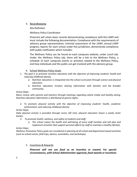#### 3. Recordkeeping

Alia Rothstein

Wellness Policy Coordinator

Pinecrest will retain basic records demonstrating compliance with the LSWP and must include the following documentation: Compliance with the requirements of advisory group representation, triennial assessment of the LSWP, annual LSWP progress reports for each school under the jurisdiction, demonstrate compliance with public notification which includes:

The Wellness Policy can be found on each campuses website, under Lunch tab. Under the Wellness Policy tab, there will be a link to the Wellness Policy, a schedule of each campuses events or activities related to the Wellness Policy, and how individuals and the public can get involved with the advisory group.

- 4. School Wellness Policy Goals
- *1. The goal is to promote nutrition education with the objective of improving students' health and reducing childhood obesity.*
	- *a. Nutrition education is integrated into the school curriculum through science and physical education.*
	- *b. Nutrition education involves sharing information with families and the broader community.*

#### *Action Steps:*

*Menu review with parents and teachers through meetings regarding calorie intake and healthy eating. Nutrition education information is distributed at parent nights.*

*2. To promote physical activity with the objective of improving students' health, academic achievement, and reducing childhood obesity.*

#### *Action Steps:*

*Daily physical activity is provided through recess (30 min), physical education (twice a week), brain breaks.*

- *3. To promote health, wellness, and safety of students and staff.*
	- *a. The school values the health and well-being of every staff member and will plan and implement activities that support personal efforts by staff to maintain a healthy lifestyle.*

#### *Action Steps:*

*Wellness Promotion Policy goals are considered in planning of all school and department-based activities (such as school events, field trips, dances, assemblies, and workshops).*

5. Incentives & Rewards

*Pinecrest will not use food as an incentive or reward. For special circumstances, with School Administrator approval, food awards or incentives*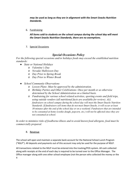*may be used as long as they are in alignment with the Smart Snacks Nutrition Standards.*

6. Fundraising

*All items sold to students on the school campus during the school day will meet the Smart Snacks Nutrition Standards, there are no exemptions.*

## 7. Special Occasions

# *Special Occasions Policy*

*For the following special occasions and/or holidays foods may exceed the established nutrition standards:*

- *● State or National Holidays*
	- *o Valentine's Day*
	- *o Nevada/ Halloween Day*
	- *o Day Prior to Spring Break*
	- *o Day Prior to Winter Break*
- *● School Community Observations*
	- *o Lesson Plans- Must be approved by the administration.*
	- *o Birthday Parties and Other Celebrations- Once per month or as otherwise determined by the School Administration on a limited basis.*
	- *o Fundraising for various school related activities, sporting events and field trips, using outside vendors (all nutritional facts are available for review). ALL fundraisers on school campus during the school day will meet the Smart Snacks Nutrition Standards. If fundraisers sell items that do not meet Smart Snacks, it will occur at least 30 minutes after the end of the school day or on a weekend. Fundraisers that are intended to be consumed at home (cookie dough, popcorn, etc.) will not be af ected since they are not consumed at school.*

*In order to minimize risks of foodborne-illness and to avoid known food allergens, food must be commercially prepared.*

#### 8. Revenue

The school will open and maintain a separate bank account for the National School Lunch Program ("NSLP"). All deposits and payments out of this account may only be used for the purpose of NSLP.

All transactions related to the NSLP must be entered into the tracking/POS system. All cash collected along with receipts at the end of each day is required to be turned over to the Office Manager. The Office manager along with one other school employee (not the person who collected the money or the 4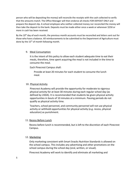person who will be depositing the money) will reconcile the receipts with the cash collected to verify that the amounts match. The Office Manager will then endorse all checks FOR DEPOSIT ONLY and prepare the deposit slip. A school employee who neither collected money nor reconciled the money will then take the deposit to the bank. Deposits must be made either once a week or whenever \$250 or more in cash has been received.

By the 10<sup>th</sup> day of each month, the previous month accounts must be reconciled and letters sent out for those who have a balance. All reimbursements to be submitted to the Department of Agriculture must done by the 15<sup>th</sup> of month following month.

#### 9. Meal Consumption

It is the intent of this policy to allow each student adequate time to eat their meals, therefore, time spent acquiring the meal is not included in the time to consume the meal.

#### Each Pinecrest Campus shall:

Provide at least 20 minutes for each student to consume the lunch meal.

#### 10. Physical Activity

Pinecrest Academy will provide the opportunity for moderate to vigorous physical activity for at least 30 minutes during each regular school day (as defined by USDA). It is recommended that students be given physical activity opportunities in bouts of 10 minutes at a minimum. Passing periods do not qualify as physical activity time.

Teachers, school personnel, and community personnel will not use physical activity or withhold opportunities for physical activity (e.g. recess, physical education) as punishment.

#### 11. Recess Before Lunch

Recess before lunch is recommended, but is left to the discretion of each Pinecrest Campus.

#### 12. Marketing

Only marketing consistent with Smart Snacks Nutrition Standards is allowed on the school campus. This includes any advertising and other promotions on the school campus during the school day (oral, written, or visual).

Pinecrest Academy will work to identify and eliminate all marketing and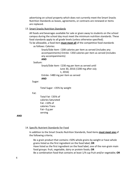advertising on school property which does not currently meet the Smart Snacks Nutrition Standards as leases, agreements, or contracts are renewed or items are replaced.

#### 13. Smart Snacks Nutrition Standards

All foods and beverages available for sale or given away to students on the school campus during the school day must meet the minimum nutrition standards. These food standards apply to all grade levels (unless otherwise specified).

To be allowable, a food item **must meet all** of the competitive food standards as follows: Calories:

> Snack/Side Item- ≤200 calories per item as served (includes any accompaniments) Entrée- ≤350 calories per item as served (includes any accompaniments)

**AND**

#### Sodium:

Snack/Side Item- ≤230 mg per item as served until June 30, 2016 (≤200 mg after July 1, 2016) Entrée- ≤480 mg per item as served

#### **AND**

Sugar:

Total Sugar- <35% by weight

#### Fat:

Total Fat- ≤35% of calories Saturated Fat- <10% of calories Trans Fat– 0 g per serving

**AND**

#### 14. Specific Nutrient Standards for Food

In addition to the Smart Snacks Nutrition Standards, food items **must meet one** of the following criteria;

Be a grain product that contains >50% whole grains by weight or have whole grains listed as the first ingredient on the food label; **OR** Have listed as the first ingredient on the food label, one of the non-grain main food groups: fruit, vegetable, dairy or protein foods; **OR** Be a combination food that contains at least 1/4 cup fruit and/or vegetable; **OR**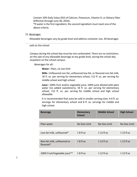Contain 10% Daily Value (DV) of Calcium, Potassium, Vitamin D, or Dietary Fiber (Effective through June 30, 2016).

\*If water is the first ingredient, the second ingredient must meet one of the above criteria.

#### 15. Beverages

Allowable beverages vary by grade level and address container size. All beverages

#### sold on the school

Campus during the school day must be non-carbonated. There are no restrictions on the sale of any allowable beverage at any grade level, during the school day anywhere on the school campus.

Beverages for all:

**Water**– Plain, no size limit

**Milk–** Unflavored non-fat, unflavored low-fat, or flavored non-fat milk, ≤8 fl. oz. per serving for elementary school, ≤12 fl. oz. per serving for middle school and high school.

**Juice–** 100% fruit and/or vegetable juice, 100% juice diluted with plain water (no added sweeteners), ≤8 fl. oz. per serving for elementary school, ≤12 fl. oz. per serving for middle school and high school allowable.

It is recommended that juice be sold in smaller serving sizes: 4-6 fl. oz. servings for elementary school and 8 fl. oz. servings for middle and high school.

| <b>Beverage</b>                          | <b>Elementary</b><br><b>School</b> | <b>Middle School</b> | <b>High School</b> |
|------------------------------------------|------------------------------------|----------------------|--------------------|
|                                          |                                    |                      |                    |
| Plain water                              | No Size Limit                      | No Size Limit        | No Size Limit      |
|                                          |                                    |                      |                    |
| Low-fat milk, unflavored*                | $\leq$ 8 fl oz                     | $\leq$ 12 fl oz      | $\leq$ 12 fl oz    |
|                                          |                                    |                      |                    |
| Non-fat milk, unflavored or<br>flavored* | $\leq$ 8 fl oz                     | $\leq$ 12 fl oz      | $\leq$ 12 fl oz    |
|                                          |                                    |                      |                    |
| 100% Fruit/Vegetable juice**             | $\leq$ 8 fl oz                     | $\leq$ 12 fl oz      | $\leq$ 12 fl oz    |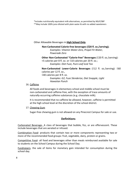\*Includes nutritionally equivalent milk alternatives, as permitted by NSLP/SBP \*\*May include 100% juice diluted with plain water & with no added sweeteners

Other Allowable Beverages in **High School Only**.

**Non-Carbonated Calorie-free beverages (**≤**20 fl. oz./serving);** *Examples: Vitamin Water Zero, Propel Fit Water, Powerade Zero*

**Other Non-Carbonated "Calorie-free" Beverages** (≤20 fl. oz./serving):

<5 calories per 8 fl. oz. or ≤10 calories per 20 fl. oz.; *Examples: Diet Fuze, Pure Leaf Iced Tea*

**Non-Carbonated Lower-Calorie Beverages** (≤12 fl. oz./serving): ≤60 calories per 12 fl. oz.,

≤40 calories per 8 fl. oz.

*Examples: G2, Fuze Slenderize, Diet Snapple, Light Hawaiian Punch*

#### 16. Caffeine

All foods and beverages in elementary school and middle school must be non-carbonated and caffeine-free, with the exception of trace amounts of naturally-occurring caffeine substances (e.g. chocolate milk).

It is recommended that no caffeine be allowed, however, caffeine is permitted at the high school level at the discretion of the school district.

#### 17. Chewing Gum

Sugar-free chewing gum is not allowed on any Pinecrest Campus for sale or use.

# **Definitions**

Carbonated Beverage- A class of beverages that bubble, fizz, or are effervescent. These include beverages that are aerated or infused.

Combination Food- products that contain two or more components representing two or more of the recommended food groups: fruit, vegetable, dairy, protein or grains.

Competitive Food- all food and beverages other than meals reimbursed available for sale to students on the School Campus during the School Day.

Fundraisers- the sale of items for monetary gain intended for consumption during the school day.